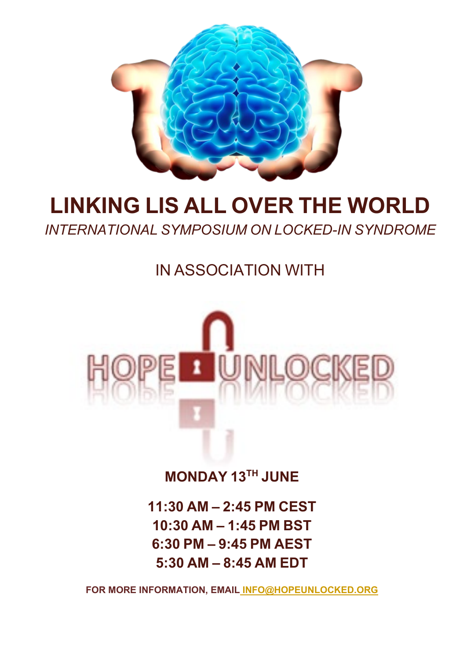

# **LINKING LIS ALL OVER THE WORLD**

*INTERNATIONAL SYMPOSIUM ON LOCKED-IN SYNDROME*

IN ASSOCIATION WITH



**MONDAY 13TH JUNE**

**11:30 AM – 2:45 PM CEST 10:30 AM – 1:45 PM BST 6:30 PM – 9:45 PM AEST 5:30 AM – 8:45 AM EDT**

**FOR MORE INFORMATION, EMAIL INFO@HOPEUNLOCKED.ORG**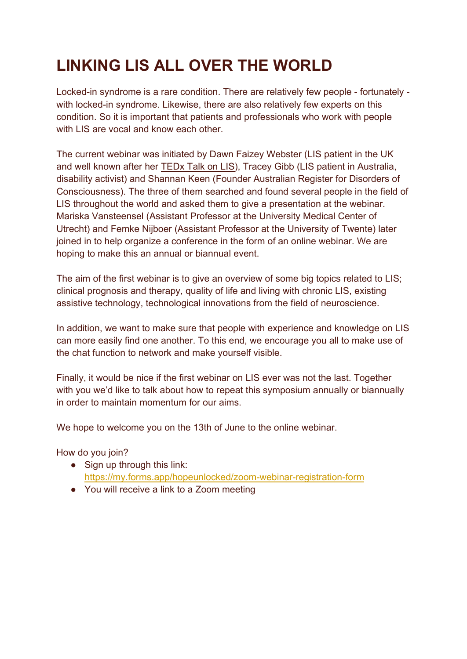## **LINKING LIS ALL OVER THE WORLD**

Locked-in syndrome is a rare condition. There are relatively few people - fortunately with locked-in syndrome. Likewise, there are also relatively few experts on this condition. So it is important that patients and professionals who work with people with LIS are vocal and know each other.

The current webinar was initiated by Dawn Faizey Webster (LIS patient in the UK and well known after her [TEDx Talk on LIS\)](https://www.tedxexeter.com/speakers/dawn-faizey-webster/), Tracey Gibb (LIS patient in Australia, disability activist) and Shannan Keen (Founder Australian Register for Disorders of Consciousness). The three of them searched and found several people in the field of LIS throughout the world and asked them to give a presentation at the webinar. Mariska Vansteensel (Assistant Professor at the University Medical Center of Utrecht) and Femke Nijboer (Assistant Professor at the University of Twente) later joined in to help organize a conference in the form of an online webinar. We are hoping to make this an annual or biannual event.

The aim of the first webinar is to give an overview of some big topics related to LIS; clinical prognosis and therapy, quality of life and living with chronic LIS, existing assistive technology, technological innovations from the field of neuroscience.

In addition, we want to make sure that people with experience and knowledge on LIS can more easily find one another. To this end, we encourage you all to make use of the chat function to network and make yourself visible.

Finally, it would be nice if the first webinar on LIS ever was not the last. Together with you we'd like to talk about how to repeat this symposium annually or biannually in order to maintain momentum for our aims.

We hope to welcome you on the 13th of June to the online webinar.

How do you join?

- Sign up through this link: <https://my.forms.app/hopeunlocked/zoom-webinar-registration-form>
- You will receive a link to a Zoom meeting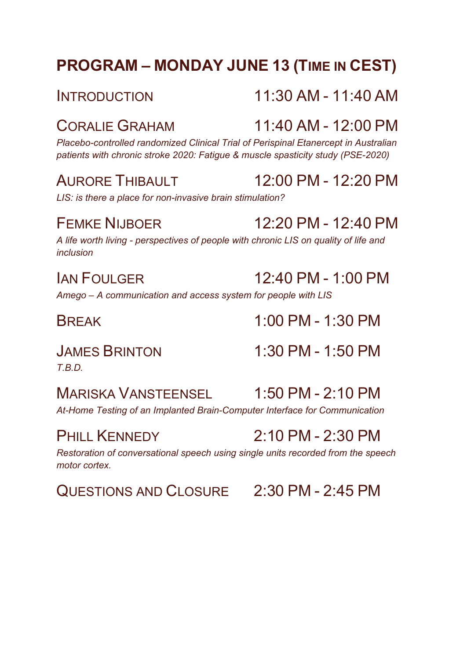## **PROGRAM – MONDAY JUNE 13 (TIME IN CEST)**

## CORALIE GRAHAM 11:40 AM - 12:00 PM

*Placebo-controlled randomized Clinical Trial of Perispinal Etanercept in Australian patients with chronic stroke 2020: Fatigue & muscle spasticity study (PSE-2020)*

## AURORE THIBAULT 12:00 PM - 12:20 PM

*LIS: is there a place for non-invasive brain stimulation?*

## FEMKE NIJBOER 12:20 PM - 12:40 PM

*A life worth living - perspectives of people with chronic LIS on quality of life and inclusion*

## $IAN$  FOULGER  $12.40$  PM - 1:00 PM

*Amego – A communication and access system for people with LIS*

*T.B.D.*

## MARISKA VANSTEENSEL 1:50 PM - 2:10 PM

*At-Home Testing of an Implanted Brain-Computer Interface for Communication*

*Restoration of conversational speech using single units recorded from the speech motor cortex.*

QUESTIONS AND CLOSURE 2:30 PM - 2:45 PM

BREAK 1:00 PM - 1:30 PM

JAMES BRINTON 1:30 PM - 1:50 PM

## PHILL KENNEDY 2:10 PM - 2:30 PM

## INTRODUCTION 11:30 AM - 11:40 AM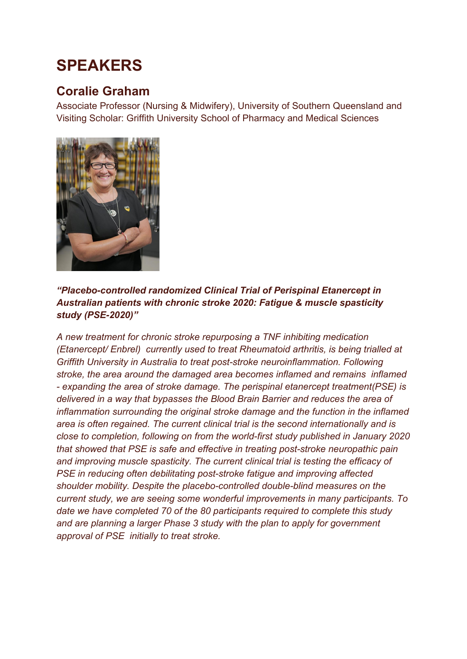## **SPEAKERS**

## **Coralie Graham**

Associate Professor (Nursing & Midwifery), University of Southern Queensland and Visiting Scholar: Griffith University School of Pharmacy and Medical Sciences



### *"Placebo-controlled randomized Clinical Trial of Perispinal Etanercept in Australian patients with chronic stroke 2020: Fatigue & muscle spasticity study (PSE-2020)"*

*A new treatment for chronic stroke repurposing a TNF inhibiting medication (Etanercept/ Enbrel) currently used to treat Rheumatoid arthritis, is being trialled at Griffith University in Australia to treat post-stroke neuroinflammation. Following stroke, the area around the damaged area becomes inflamed and remains inflamed - expanding the area of stroke damage. The perispinal etanercept treatment(PSE) is delivered in a way that bypasses the Blood Brain Barrier and reduces the area of inflammation surrounding the original stroke damage and the function in the inflamed area is often regained. The current clinical trial is the second internationally and is close to completion, following on from the world-first study published in January 2020 that showed that PSE is safe and effective in treating post-stroke neuropathic pain and improving muscle spasticity. The current clinical trial is testing the efficacy of PSE in reducing often debilitating post-stroke fatigue and improving affected shoulder mobility. Despite the placebo-controlled double-blind measures on the current study, we are seeing some wonderful improvements in many participants. To date we have completed 70 of the 80 participants required to complete this study and are planning a larger Phase 3 study with the plan to apply for government approval of PSE initially to treat stroke.*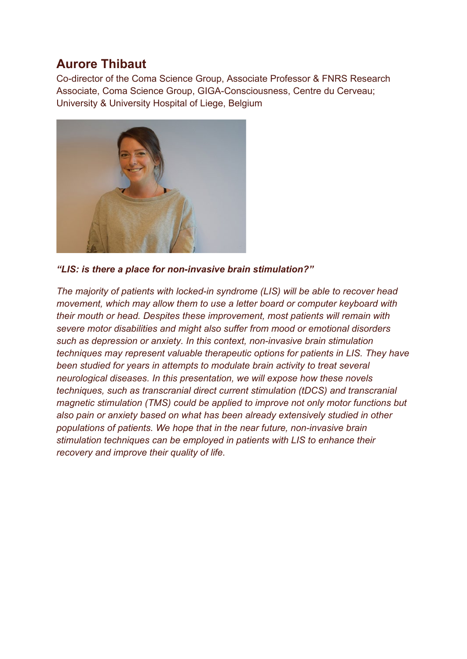## **Aurore Thibaut**

Co-director of the Coma Science Group, Associate Professor & FNRS Research Associate, Coma Science Group, GIGA-Consciousness, Centre du Cerveau; University & University Hospital of Liege, Belgium



*"LIS: is there a place for non-invasive brain stimulation?"*

*The majority of patients with locked-in syndrome (LIS) will be able to recover head movement, which may allow them to use a letter board or computer keyboard with their mouth or head. Despites these improvement, most patients will remain with severe motor disabilities and might also suffer from mood or emotional disorders such as depression or anxiety. In this context, non-invasive brain stimulation techniques may represent valuable therapeutic options for patients in LIS. They have been studied for years in attempts to modulate brain activity to treat several neurological diseases. In this presentation, we will expose how these novels techniques, such as transcranial direct current stimulation (tDCS) and transcranial magnetic stimulation (TMS) could be applied to improve not only motor functions but also pain or anxiety based on what has been already extensively studied in other populations of patients. We hope that in the near future, non-invasive brain stimulation techniques can be employed in patients with LIS to enhance their recovery and improve their quality of life.*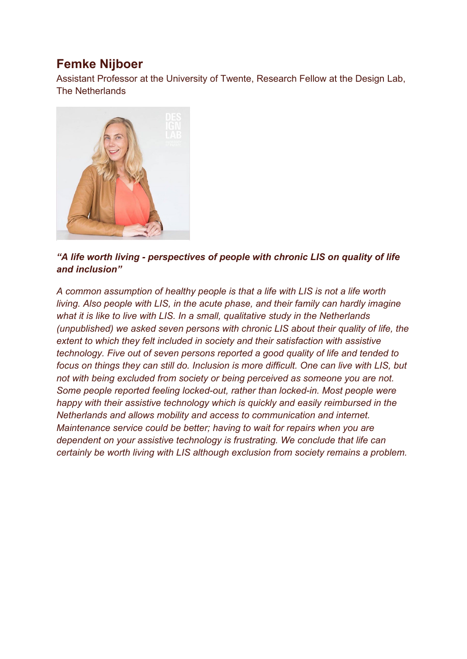## **Femke Nijboer**

Assistant Professor at the University of Twente, Research Fellow at the Design Lab, The Netherlands



### *"A life worth living - perspectives of people with chronic LIS on quality of life and inclusion"*

*A common assumption of healthy people is that a life with LIS is not a life worth living. Also people with LIS, in the acute phase, and their family can hardly imagine what it is like to live with LIS. In a small, qualitative study in the Netherlands (unpublished) we asked seven persons with chronic LIS about their quality of life, the extent to which they felt included in society and their satisfaction with assistive technology. Five out of seven persons reported a good quality of life and tended to focus on things they can still do. Inclusion is more difficult. One can live with LIS, but not with being excluded from society or being perceived as someone you are not. Some people reported feeling locked-out, rather than locked-in. Most people were happy with their assistive technology which is quickly and easily reimbursed in the Netherlands and allows mobility and access to communication and internet. Maintenance service could be better; having to wait for repairs when you are dependent on your assistive technology is frustrating. We conclude that life can certainly be worth living with LIS although exclusion from society remains a problem.*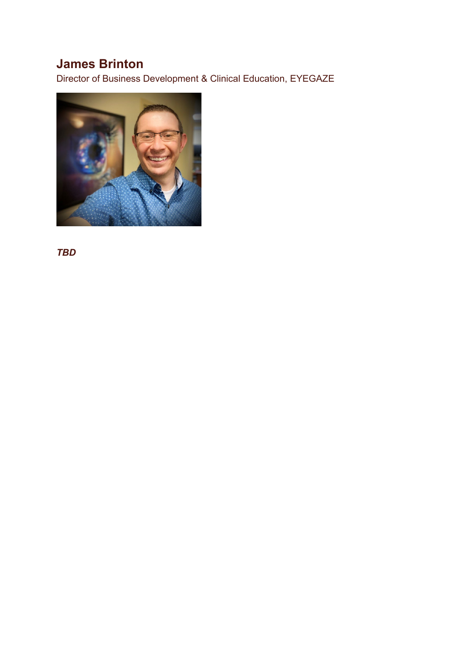## **James Brinton**

Director of Business Development & Clinical Education, EYEGAZE



*TBD*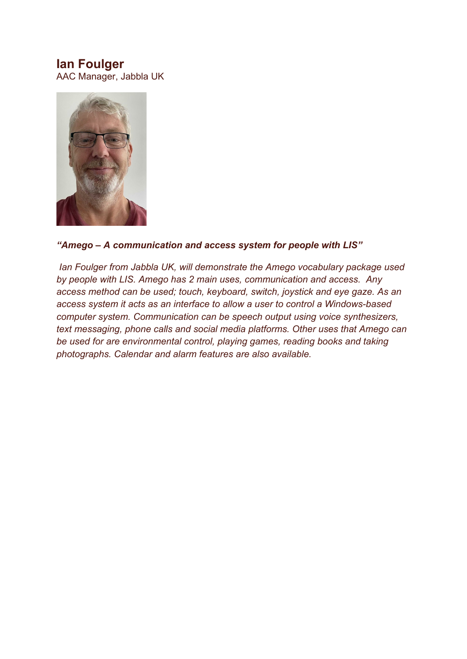### **Ian Foulger**

AAC Manager, Jabbla UK



### *"Amego – A communication and access system for people with LIS"*

*Ian Foulger from Jabbla UK, will demonstrate the Amego vocabulary package used by people with LIS. Amego has 2 main uses, communication and access. Any access method can be used; touch, keyboard, switch, joystick and eye gaze. As an access system it acts as an interface to allow a user to control a Windows-based computer system. Communication can be speech output using voice synthesizers, text messaging, phone calls and social media platforms. Other uses that Amego can be used for are environmental control, playing games, reading books and taking photographs. Calendar and alarm features are also available.*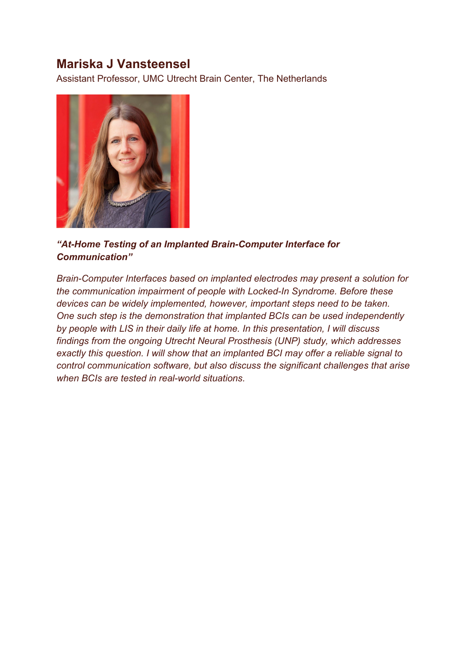### **Mariska J Vansteensel**

Assistant Professor, UMC Utrecht Brain Center, The Netherlands



### *"At-Home Testing of an Implanted Brain-Computer Interface for Communication"*

*Brain-Computer Interfaces based on implanted electrodes may present a solution for the communication impairment of people with Locked-In Syndrome. Before these devices can be widely implemented, however, important steps need to be taken. One such step is the demonstration that implanted BCIs can be used independently by people with LIS in their daily life at home. In this presentation, I will discuss findings from the ongoing Utrecht Neural Prosthesis (UNP) study, which addresses exactly this question. I will show that an implanted BCI may offer a reliable signal to control communication software, but also discuss the significant challenges that arise when BCIs are tested in real-world situations.*